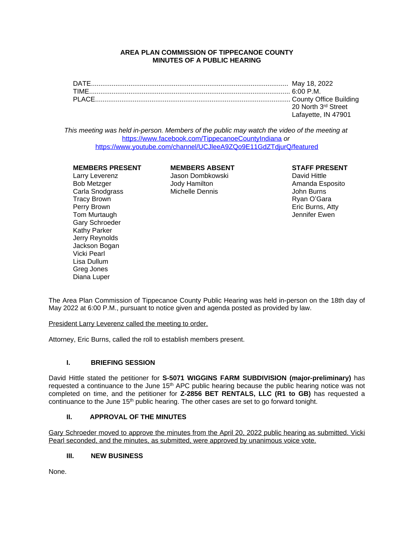## **AREA PLAN COMMISSION OF TIPPECANOE COUNTY MINUTES OF A PUBLIC HEARING**

| DATE   |                     |
|--------|---------------------|
| TIME.  |                     |
| PLACE. |                     |
|        | 20 North 3rd Street |
|        | Lafayette, IN 47901 |

*This meeting was held in-person. Members of the public may watch the video of the meeting at*  <https://www.facebook.com/TippecanoeCountyIndiana> *or* <https://www.youtube.com/channel/UCJleeA9ZQo9E11GdZTdjurQ/featured>

## **MEMBERS PRESENT MEMBERS ABSENT STAFF PRESENT**

Tracy Brown Tracy Brown (Tracy Brown Tracy Brown Tracy Brown Ryan O'Gara<br>Perry Brown Tracy Brown (Tracy Brown Tracy Brown Tracy Brown Tracy Brown Tracy Brown Tracy Brown Tracy Brown T Tom Murtaugh Jennifer Ewen Gary Schroeder Kathy Parker Jerry Reynolds Jackson Bogan Vicki Pearl Lisa Dullum Greg Jones Diana Luper

Larry Leverenz Jason Dombkowski David Hittle Carla Snodgrass Michelle Dennis John Burns

Amanda Esposito Eric Burns, Atty

The Area Plan Commission of Tippecanoe County Public Hearing was held in-person on the 18th day of May 2022 at 6:00 P.M., pursuant to notice given and agenda posted as provided by law.

President Larry Leverenz called the meeting to order.

Attorney, Eric Burns, called the roll to establish members present.

# **I. BRIEFING SESSION**

David Hittle stated the petitioner for **S-5071 WIGGINS FARM SUBDIVISION (major-preliminary)** has requested a continuance to the June 15<sup>th</sup> APC public hearing because the public hearing notice was not completed on time, and the petitioner for **Z-2856 BET RENTALS, LLC (R1 to GB)** has requested a continuance to the June 15<sup>th</sup> public hearing. The other cases are set to go forward tonight.

# **II. APPROVAL OF THE MINUTES**

Gary Schroeder moved to approve the minutes from the April 20, 2022 public hearing as submitted. Vicki Pearl seconded, and the minutes, as submitted, were approved by unanimous voice vote.

## **III. NEW BUSINESS**

None.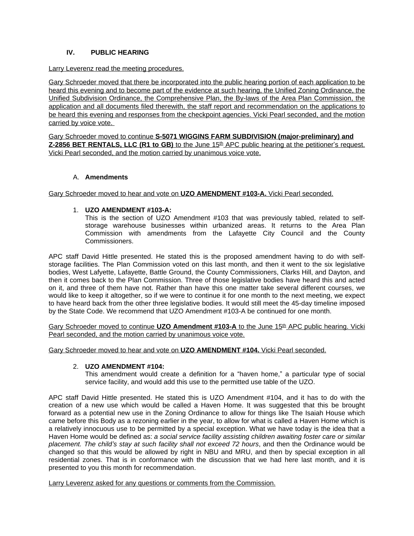# **IV. PUBLIC HEARING**

## Larry Leverenz read the meeting procedures.

Gary Schroeder moved that there be incorporated into the public hearing portion of each application to be heard this evening and to become part of the evidence at such hearing, the Unified Zoning Ordinance, the Unified Subdivision Ordinance, the Comprehensive Plan, the By-laws of the Area Plan Commission, the application and all documents filed therewith, the staff report and recommendation on the applications to be heard this evening and responses from the checkpoint agencies. Vicki Pearl seconded, and the motion carried by voice vote.

Gary Schroeder moved to continue **S-5071 WIGGINS FARM SUBDIVISION (major-preliminary) and Z-2856 BET RENTALS, LLC (R1 to GB)** to the June 15<sup>th</sup> APC public hearing at the petitioner's request. Vicki Pearl seconded, and the motion carried by unanimous voice vote.

# A. **Amendments**

Gary Schroeder moved to hear and vote on **UZO AMENDMENT #103-A.** Vicki Pearl seconded.

# 1. **UZO AMENDMENT #103-A:**

This is the section of UZO Amendment #103 that was previously tabled, related to selfstorage warehouse businesses within urbanized areas. It returns to the Area Plan Commission with amendments from the Lafayette City Council and the County Commissioners.

APC staff David Hittle presented. He stated this is the proposed amendment having to do with selfstorage facilities. The Plan Commission voted on this last month, and then it went to the six legislative bodies, West Lafyette, Lafayette, Battle Ground, the County Commissioners, Clarks Hill, and Dayton, and then it comes back to the Plan Commission. Three of those legislative bodies have heard this and acted on it, and three of them have not. Rather than have this one matter take several different courses, we would like to keep it altogether, so if we were to continue it for one month to the next meeting, we expect to have heard back from the other three legislative bodies. It would still meet the 45-day timeline imposed by the State Code. We recommend that UZO Amendment #103-A be continued for one month.

Gary Schroeder moved to continue UZO Amendment #103-A to the June 15<sup>th</sup> APC public hearing. Vicki Pearl seconded, and the motion carried by unanimous voice vote.

Gary Schroeder moved to hear and vote on **UZO AMENDMENT #104.** Vicki Pearl seconded.

## 2. **UZO AMENDMENT #104:**

This amendment would create a definition for a "haven home," a particular type of social service facility, and would add this use to the permitted use table of the UZO.

APC staff David Hittle presented. He stated this is UZO Amendment #104, and it has to do with the creation of a new use which would be called a Haven Home. It was suggested that this be brought forward as a potential new use in the Zoning Ordinance to allow for things like The Isaiah House which came before this Body as a rezoning earlier in the year, to allow for what is called a Haven Home which is a relatively innocuous use to be permitted by a special exception. What we have today is the idea that a Haven Home would be defined as: *a social service facility assisting children awaiting foster care or similar placement. The child's stay at such facility shall not exceed 72 hours*, and then the Ordinance would be changed so that this would be allowed by right in NBU and MRU, and then by special exception in all residential zones. That is in conformance with the discussion that we had here last month, and it is presented to you this month for recommendation.

Larry Leverenz asked for any questions or comments from the Commission.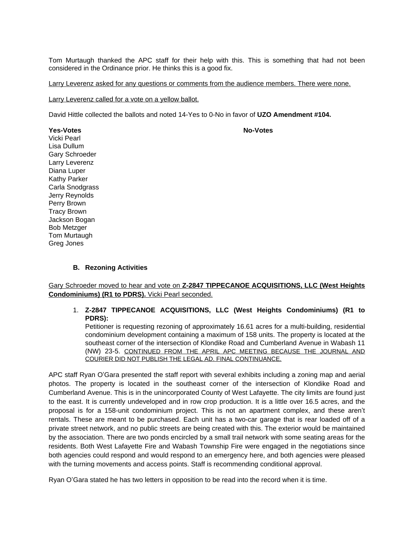Tom Murtaugh thanked the APC staff for their help with this. This is something that had not been considered in the Ordinance prior. He thinks this is a good fix.

Larry Leverenz asked for any questions or comments from the audience members. There were none.

Larry Leverenz called for a vote on a yellow ballot.

David Hittle collected the ballots and noted 14-Yes to 0-No in favor of **UZO Amendment #104.**

**Yes-Votes No-Votes**

Vicki Pearl Lisa Dullum Gary Schroeder Larry Leverenz Diana Luper Kathy Parker Carla Snodgrass Jerry Reynolds Perry Brown Tracy Brown Jackson Bogan Bob Metzger Tom Murtaugh Greg Jones

## **B. Rezoning Activities**

Gary Schroeder moved to hear and vote on **Z-2847 TIPPECANOE ACQUISITIONS, LLC (West Heights Condominiums) (R1 to PDRS).** Vicki Pearl seconded.

1. **Z-2847 TIPPECANOE ACQUISITIONS, LLC (West Heights Condominiums) (R1 to PDRS):**

Petitioner is requesting rezoning of approximately 16.61 acres for a multi-building, residential condominium development containing a maximum of 158 units. The property is located at the southeast corner of the intersection of Klondike Road and Cumberland Avenue in Wabash 11 (NW) 23-5. CONTINUED FROM THE APRIL APC MEETING BECAUSE THE JOURNAL AND COURIER DID NOT PUBLISH THE LEGAL AD. FINAL CONTINUANCE.

APC staff Ryan O'Gara presented the staff report with several exhibits including a zoning map and aerial photos. The property is located in the southeast corner of the intersection of Klondike Road and Cumberland Avenue. This is in the unincorporated County of West Lafayette. The city limits are found just to the east. It is currently undeveloped and in row crop production. It is a little over 16.5 acres, and the proposal is for a 158-unit condominium project. This is not an apartment complex, and these aren't rentals. These are meant to be purchased. Each unit has a two-car garage that is rear loaded off of a private street network, and no public streets are being created with this. The exterior would be maintained by the association. There are two ponds encircled by a small trail network with some seating areas for the residents. Both West Lafayette Fire and Wabash Township Fire were engaged in the negotiations since both agencies could respond and would respond to an emergency here, and both agencies were pleased with the turning movements and access points. Staff is recommending conditional approval.

Ryan O'Gara stated he has two letters in opposition to be read into the record when it is time.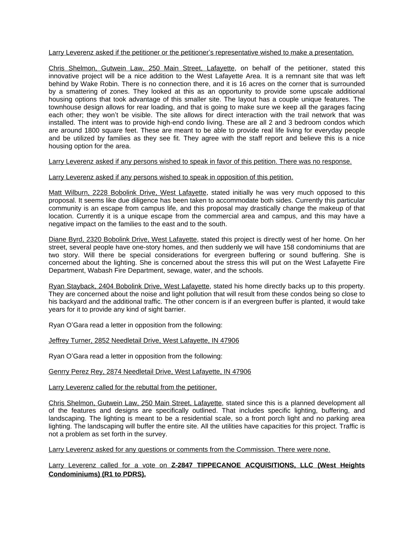Larry Leverenz asked if the petitioner or the petitioner's representative wished to make a presentation.

Chris Shelmon, Gutwein Law, 250 Main Street, Lafayette, on behalf of the petitioner, stated this innovative project will be a nice addition to the West Lafayette Area. It is a remnant site that was left behind by Wake Robin. There is no connection there, and it is 16 acres on the corner that is surrounded by a smattering of zones. They looked at this as an opportunity to provide some upscale additional housing options that took advantage of this smaller site. The layout has a couple unique features. The townhouse design allows for rear loading, and that is going to make sure we keep all the garages facing each other; they won't be visible. The site allows for direct interaction with the trail network that was installed. The intent was to provide high-end condo living. These are all 2 and 3 bedroom condos which are around 1800 square feet. These are meant to be able to provide real life living for everyday people and be utilized by families as they see fit. They agree with the staff report and believe this is a nice housing option for the area.

Larry Leverenz asked if any persons wished to speak in favor of this petition. There was no response.

Larry Leverenz asked if any persons wished to speak in opposition of this petition.

Matt Wilburn, 2228 Bobolink Drive, West Lafayette, stated initially he was very much opposed to this proposal. It seems like due diligence has been taken to accommodate both sides. Currently this particular community is an escape from campus life, and this proposal may drastically change the makeup of that location. Currently it is a unique escape from the commercial area and campus, and this may have a negative impact on the families to the east and to the south.

Diane Byrd, 2320 Bobolink Drive, West Lafayette, stated this project is directly west of her home. On her street, several people have one-story homes, and then suddenly we will have 158 condominiums that are two story. Will there be special considerations for evergreen buffering or sound buffering. She is concerned about the lighting. She is concerned about the stress this will put on the West Lafayette Fire Department, Wabash Fire Department, sewage, water, and the schools.

Ryan Stayback, 2404 Bobolink Drive, West Lafayette, stated his home directly backs up to this property. They are concerned about the noise and light pollution that will result from these condos being so close to his backyard and the additional traffic. The other concern is if an evergreen buffer is planted, it would take years for it to provide any kind of sight barrier.

Ryan O'Gara read a letter in opposition from the following:

Jeffrey Turner, 2852 Needletail Drive, West Lafayette, IN 47906

Ryan O'Gara read a letter in opposition from the following:

Genrry Perez Rey, 2874 Needletail Drive, West Lafayette, IN 47906

Larry Leverenz called for the rebuttal from the petitioner.

Chris Shelmon, Gutwein Law, 250 Main Street, Lafayette, stated since this is a planned development all of the features and designs are specifically outlined. That includes specific lighting, buffering, and landscaping. The lighting is meant to be a residential scale, so a front porch light and no parking area lighting. The landscaping will buffer the entire site. All the utilities have capacities for this project. Traffic is not a problem as set forth in the survey.

Larry Leverenz asked for any questions or comments from the Commission. There were none.

Larry Leverenz called for a vote on **Z-2847 TIPPECANOE ACQUISITIONS, LLC (West Heights Condominiums) (R1 to PDRS).**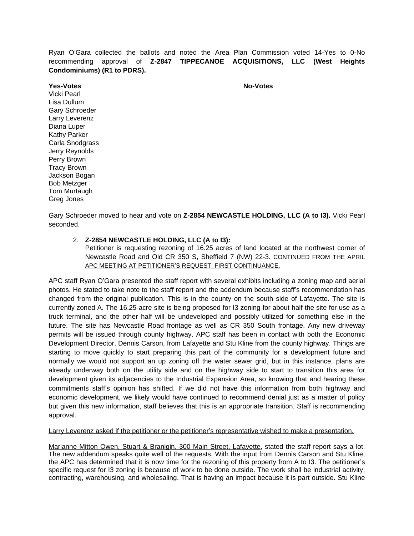Ryan O'Gara collected the ballots and noted the Area Plan Commission voted 14-Yes to 0-No recommending approval of **Z-2847 TIPPECANOE ACQUISITIONS, LLC (West Heights Condominiums) (R1 to PDRS).**

**Yes-Votes No-Votes** Vicki Pearl Lisa Dullum Gary Schroeder Larry Leverenz Diana Luper Kathy Parker Carla Snodgrass Jerry Reynolds Perry Brown Tracy Brown Jackson Bogan Bob Metzger Tom Murtaugh Greg Jones

Gary Schroeder moved to hear and vote on **Z-2854 NEWCASTLE HOLDING, LLC (A to I3).** Vicki Pearl seconded.

# 2. **Z-2854 NEWCASTLE HOLDING, LLC (A to I3):**

Petitioner is requesting rezoning of 16.25 acres of land located at the northwest corner of Newcastle Road and Old CR 350 S, Sheffield 7 (NW) 22-3. CONTINUED FROM THE APRIL APC MEETING AT PETITIONER'S REQUEST. FIRST CONTINUANCE.

APC staff Ryan O'Gara presented the staff report with several exhibits including a zoning map and aerial photos. He stated to take note to the staff report and the addendum because staff's recommendation has changed from the original publication. This is in the county on the south side of Lafayette. The site is currently zoned A. The 16.25-acre site is being proposed for I3 zoning for about half the site for use as a truck terminal, and the other half will be undeveloped and possibly utilized for something else in the future. The site has Newcastle Road frontage as well as CR 350 South frontage. Any new driveway permits will be issued through county highway. APC staff has been in contact with both the Economic Development Director, Dennis Carson, from Lafayette and Stu Kline from the county highway. Things are starting to move quickly to start preparing this part of the community for a development future and normally we would not support an up zoning off the water sewer grid, but in this instance, plans are already underway both on the utility side and on the highway side to start to transition this area for development given its adjacencies to the Industrial Expansion Area, so knowing that and hearing these commitments staff's opinion has shifted. If we did not have this information from both highway and economic development, we likely would have continued to recommend denial just as a matter of policy but given this new information, staff believes that this is an appropriate transition. Staff is recommending approval.

#### Larry Leverenz asked if the petitioner or the petitioner's representative wished to make a presentation.

Marianne Mitton Owen, Stuart & Branigin, 300 Main Street, Lafayette, stated the staff report says a lot. The new addendum speaks quite well of the requests. With the input from Dennis Carson and Stu Kline, the APC has determined that it is now time for the rezoning of this property from A to I3. The petitioner's specific request for I3 zoning is because of work to be done outside. The work shall be industrial activity, contracting, warehousing, and wholesaling. That is having an impact because it is part outside. Stu Kline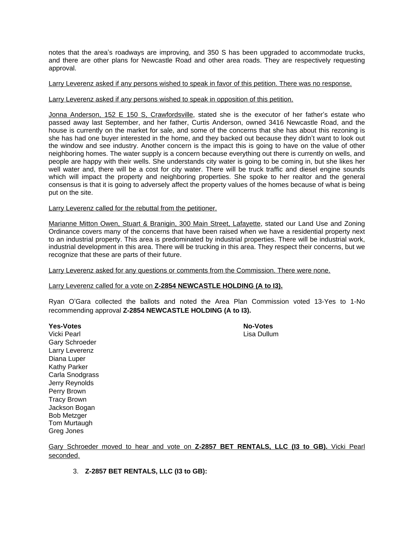notes that the area's roadways are improving, and 350 S has been upgraded to accommodate trucks, and there are other plans for Newcastle Road and other area roads. They are respectively requesting approval.

#### Larry Leverenz asked if any persons wished to speak in favor of this petition. There was no response.

#### Larry Leverenz asked if any persons wished to speak in opposition of this petition.

Jonna Anderson, 152 E 150 S, Crawfordsville, stated she is the executor of her father's estate who passed away last September, and her father, Curtis Anderson, owned 3416 Newcastle Road, and the house is currently on the market for sale, and some of the concerns that she has about this rezoning is she has had one buyer interested in the home, and they backed out because they didn't want to look out the window and see industry. Another concern is the impact this is going to have on the value of other neighboring homes. The water supply is a concern because everything out there is currently on wells, and people are happy with their wells. She understands city water is going to be coming in, but she likes her well water and, there will be a cost for city water. There will be truck traffic and diesel engine sounds which will impact the property and neighboring properties. She spoke to her realtor and the general consensus is that it is going to adversely affect the property values of the homes because of what is being put on the site.

#### Larry Leverenz called for the rebuttal from the petitioner.

Marianne Mitton Owen, Stuart & Branigin, 300 Main Street, Lafayette, stated our Land Use and Zoning Ordinance covers many of the concerns that have been raised when we have a residential property next to an industrial property. This area is predominated by industrial properties. There will be industrial work, industrial development in this area. There will be trucking in this area. They respect their concerns, but we recognize that these are parts of their future.

Larry Leverenz asked for any questions or comments from the Commission. There were none.

## Larry Leverenz called for a vote on **Z-2854 NEWCASTLE HOLDING (A to I3).**

Ryan O'Gara collected the ballots and noted the Area Plan Commission voted 13-Yes to 1-No recommending approval **Z-2854 NEWCASTLE HOLDING (A to I3).**

**Yes-Votes** No-Votes Vicki Pearl **Lisa Dullum** Gary Schroeder Larry Leverenz Diana Luper Kathy Parker Carla Snodgrass Jerry Reynolds Perry Brown Tracy Brown Jackson Bogan Bob Metzger Tom Murtaugh Greg Jones

Gary Schroeder moved to hear and vote on **Z-2857 BET RENTALS, LLC (I3 to GB).** Vicki Pearl seconded.

3. **Z-2857 BET RENTALS, LLC (I3 to GB):**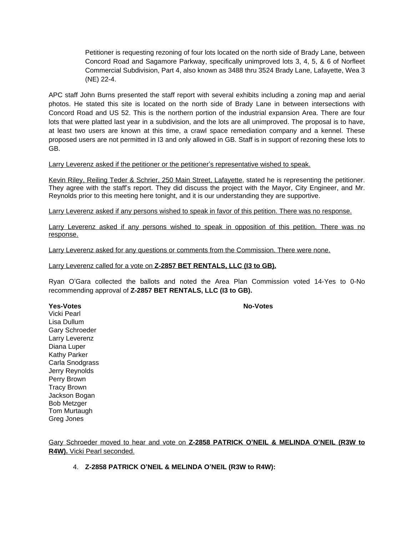Petitioner is requesting rezoning of four lots located on the north side of Brady Lane, between Concord Road and Sagamore Parkway, specifically unimproved lots 3, 4, 5, & 6 of Norfleet Commercial Subdivision, Part 4, also known as 3488 thru 3524 Brady Lane, Lafayette, Wea 3 (NE) 22-4.

APC staff John Burns presented the staff report with several exhibits including a zoning map and aerial photos. He stated this site is located on the north side of Brady Lane in between intersections with Concord Road and US 52. This is the northern portion of the industrial expansion Area. There are four lots that were platted last year in a subdivision, and the lots are all unimproved. The proposal is to have, at least two users are known at this time, a crawl space remediation company and a kennel. These proposed users are not permitted in I3 and only allowed in GB. Staff is in support of rezoning these lots to GB.

Larry Leverenz asked if the petitioner or the petitioner's representative wished to speak.

Kevin Riley, Reiling Teder & Schrier, 250 Main Street, Lafayette, stated he is representing the petitioner. They agree with the staff's report. They did discuss the project with the Mayor, City Engineer, and Mr. Reynolds prior to this meeting here tonight, and it is our understanding they are supportive.

Larry Leverenz asked if any persons wished to speak in favor of this petition. There was no response.

Larry Leverenz asked if any persons wished to speak in opposition of this petition. There was no response.

Larry Leverenz asked for any questions or comments from the Commission. There were none.

## Larry Leverenz called for a vote on **Z-2857 BET RENTALS, LLC (I3 to GB).**

Ryan O'Gara collected the ballots and noted the Area Plan Commission voted 14-Yes to 0-No recommending approval of **Z-2857 BET RENTALS, LLC (I3 to GB).**

Vicki Pearl Lisa Dullum Gary Schroeder Larry Leverenz Diana Luper Kathy Parker Carla Snodgrass Jerry Reynolds Perry Brown Tracy Brown Jackson Bogan Bob Metzger Tom Murtaugh

Greg Jones

**Yes-Votes No-Votes**

Gary Schroeder moved to hear and vote on **Z-2858 PATRICK O'NEIL & MELINDA O'NEIL (R3W to R4W).** Vicki Pearl seconded.

4. **Z-2858 PATRICK O'NEIL & MELINDA O'NEIL (R3W to R4W):**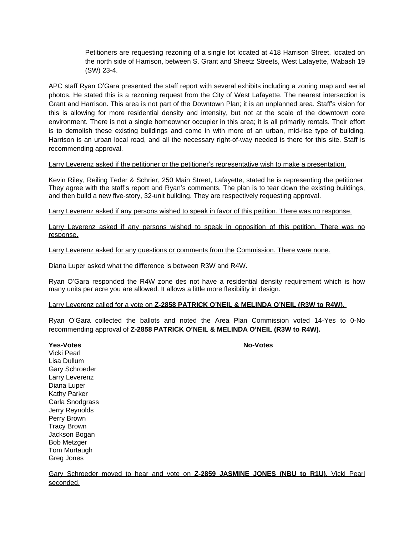Petitioners are requesting rezoning of a single lot located at 418 Harrison Street, located on the north side of Harrison, between S. Grant and Sheetz Streets, West Lafayette, Wabash 19 (SW) 23-4.

APC staff Ryan O'Gara presented the staff report with several exhibits including a zoning map and aerial photos. He stated this is a rezoning request from the City of West Lafayette. The nearest intersection is Grant and Harrison. This area is not part of the Downtown Plan; it is an unplanned area. Staff's vision for this is allowing for more residential density and intensity, but not at the scale of the downtown core environment. There is not a single homeowner occupier in this area; it is all primarily rentals. Their effort is to demolish these existing buildings and come in with more of an urban, mid-rise type of building. Harrison is an urban local road, and all the necessary right-of-way needed is there for this site. Staff is recommending approval.

## Larry Leverenz asked if the petitioner or the petitioner's representative wish to make a presentation.

Kevin Riley, Reiling Teder & Schrier, 250 Main Street, Lafayette, stated he is representing the petitioner. They agree with the staff's report and Ryan's comments. The plan is to tear down the existing buildings, and then build a new five-story, 32-unit building. They are respectively requesting approval.

Larry Leverenz asked if any persons wished to speak in favor of this petition. There was no response.

Larry Leverenz asked if any persons wished to speak in opposition of this petition. There was no response.

Larry Leverenz asked for any questions or comments from the Commission. There were none.

Diana Luper asked what the difference is between R3W and R4W.

Ryan O'Gara responded the R4W zone des not have a residential density requirement which is how many units per acre you are allowed. It allows a little more flexibility in design.

## Larry Leverenz called for a vote on **Z-2858 PATRICK O'NEIL & MELINDA O'NEIL (R3W to R4W).**

Ryan O'Gara collected the ballots and noted the Area Plan Commission voted 14-Yes to 0-No recommending approval of **Z-2858 PATRICK O'NEIL & MELINDA O'NEIL (R3W to R4W).**

**Yes-Votes** No-Votes and No-Votes No-Votes and No-Votes No-Votes and No-Votes No-Votes and No-Votes No-Votes and No-Votes and No-Votes and No-Votes and No-Votes and No-Votes and No-Votes and No-Votes and No-Votes and No-Vo Vicki Pearl Lisa Dullum Gary Schroeder Larry Leverenz Diana Luper Kathy Parker Carla Snodgrass Jerry Reynolds Perry Brown Tracy Brown Jackson Bogan Bob Metzger Tom Murtaugh Greg Jones

Gary Schroeder moved to hear and vote on **Z-2859 JASMINE JONES (NBU to R1U).** Vicki Pearl seconded.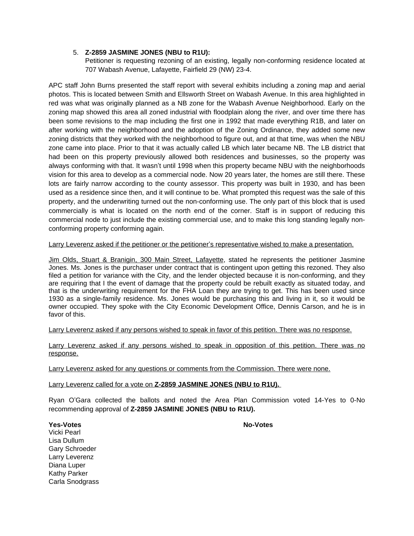## 5. **Z-2859 JASMINE JONES (NBU to R1U):**

Petitioner is requesting rezoning of an existing, legally non-conforming residence located at 707 Wabash Avenue, Lafayette, Fairfield 29 (NW) 23-4.

APC staff John Burns presented the staff report with several exhibits including a zoning map and aerial photos. This is located between Smith and Ellsworth Street on Wabash Avenue. In this area highlighted in red was what was originally planned as a NB zone for the Wabash Avenue Neighborhood. Early on the zoning map showed this area all zoned industrial with floodplain along the river, and over time there has been some revisions to the map including the first one in 1992 that made everything R1B, and later on after working with the neighborhood and the adoption of the Zoning Ordinance, they added some new zoning districts that they worked with the neighborhood to figure out, and at that time, was when the NBU zone came into place. Prior to that it was actually called LB which later became NB. The LB district that had been on this property previously allowed both residences and businesses, so the property was always conforming with that. It wasn't until 1998 when this property became NBU with the neighborhoods vision for this area to develop as a commercial node. Now 20 years later, the homes are still there. These lots are fairly narrow according to the county assessor. This property was built in 1930, and has been used as a residence since then, and it will continue to be. What prompted this request was the sale of this property, and the underwriting turned out the non-conforming use. The only part of this block that is used commercially is what is located on the north end of the corner. Staff is in support of reducing this commercial node to just include the existing commercial use, and to make this long standing legally nonconforming property conforming again.

Larry Leverenz asked if the petitioner or the petitioner's representative wished to make a presentation.

Jim Olds, Stuart & Branigin, 300 Main Street, Lafayette, stated he represents the petitioner Jasmine Jones. Ms. Jones is the purchaser under contract that is contingent upon getting this rezoned. They also filed a petition for variance with the City, and the lender objected because it is non-conforming, and they are requiring that I the event of damage that the property could be rebuilt exactly as situated today, and that is the underwriting requirement for the FHA Loan they are trying to get. This has been used since 1930 as a single-family residence. Ms. Jones would be purchasing this and living in it, so it would be owner occupied. They spoke with the City Economic Development Office, Dennis Carson, and he is in favor of this.

Larry Leverenz asked if any persons wished to speak in favor of this petition. There was no response.

Larry Leverenz asked if any persons wished to speak in opposition of this petition. There was no response.

Larry Leverenz asked for any questions or comments from the Commission. There were none.

## Larry Leverenz called for a vote on **Z-2859 JASMINE JONES (NBU to R1U).**

Ryan O'Gara collected the ballots and noted the Area Plan Commission voted 14-Yes to 0-No recommending approval of **Z-2859 JASMINE JONES (NBU to R1U).**

# **Yes-Votes** No-Votes

Vicki Pearl Lisa Dullum Gary Schroeder Larry Leverenz Diana Luper Kathy Parker Carla Snodgrass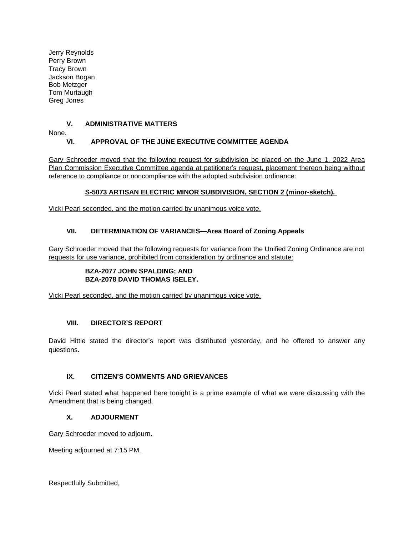Jerry Reynolds Perry Brown Tracy Brown Jackson Bogan Bob Metzger Tom Murtaugh Greg Jones

# **V. ADMINISTRATIVE MATTERS**

None.

# **VI. APPROVAL OF THE JUNE EXECUTIVE COMMITTEE AGENDA**

Gary Schroeder moved that the following request for subdivision be placed on the June 1, 2022 Area Plan Commission Executive Committee agenda at petitioner's request, placement thereon being without reference to compliance or noncompliance with the adopted subdivision ordinance:

# **S-5073 ARTISAN ELECTRIC MINOR SUBDIVISION, SECTION 2 (minor-sketch).**

Vicki Pearl seconded, and the motion carried by unanimous voice vote.

# **VII. DETERMINATION OF VARIANCES—Area Board of Zoning Appeals**

Gary Schroeder moved that the following requests for variance from the Unified Zoning Ordinance are not requests for use variance, prohibited from consideration by ordinance and statute:

## **BZA-2077 JOHN SPALDING; AND BZA-2078 DAVID THOMAS ISELEY.**

Vicki Pearl seconded, and the motion carried by unanimous voice vote.

# **VIII. DIRECTOR'S REPORT**

David Hittle stated the director's report was distributed yesterday, and he offered to answer any questions.

# **IX. CITIZEN'S COMMENTS AND GRIEVANCES**

Vicki Pearl stated what happened here tonight is a prime example of what we were discussing with the Amendment that is being changed.

# **X. ADJOURMENT**

Gary Schroeder moved to adjourn.

Meeting adjourned at 7:15 PM.

Respectfully Submitted,